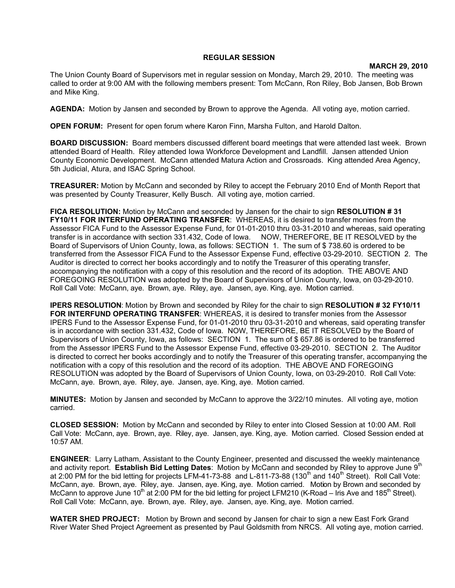## **REGULAR SESSION**

## **MARCH 29, 2010**

The Union County Board of Supervisors met in regular session on Monday, March 29, 2010. The meeting was called to order at 9:00 AM with the following members present: Tom McCann, Ron Riley, Bob Jansen, Bob Brown and Mike King.

**AGENDA:** Motion by Jansen and seconded by Brown to approve the Agenda. All voting aye, motion carried.

**OPEN FORUM:** Present for open forum where Karon Finn, Marsha Fulton, and Harold Dalton.

**BOARD DISCUSSION:** Board members discussed different board meetings that were attended last week. Brown attended Board of Health. Riley attended Iowa Workforce Development and Landfill. Jansen attended Union County Economic Development. McCann attended Matura Action and Crossroads. King attended Area Agency, 5th Judicial, Atura, and ISAC Spring School.

**TREASURER:** Motion by McCann and seconded by Riley to accept the February 2010 End of Month Report that was presented by County Treasurer, Kelly Busch. All voting aye, motion carried.

**FICA RESOLUTION:** Motion by McCann and seconded by Jansen for the chair to sign **RESOLUTION # 31 FY10/11 FOR INTERFUND OPERATING TRANSFER**: WHEREAS, it is desired to transfer monies from the Assessor FICA Fund to the Assessor Expense Fund, for 01-01-2010 thru 03-31-2010 and whereas, said operating transfer is in accordance with section 331.432, Code of Iowa. NOW, THEREFORE, BE IT RESOLVED by the Board of Supervisors of Union County, Iowa, as follows: SECTION 1. The sum of \$ 738.60 is ordered to be transferred from the Assessor FICA Fund to the Assessor Expense Fund, effective 03-29-2010. SECTION 2. The Auditor is directed to correct her books accordingly and to notify the Treasurer of this operating transfer, accompanying the notification with a copy of this resolution and the record of its adoption. THE ABOVE AND FOREGOING RESOLUTION was adopted by the Board of Supervisors of Union County, Iowa, on 03-29-2010. Roll Call Vote: McCann, aye. Brown, aye. Riley, aye. Jansen, aye. King, aye. Motion carried.

**IPERS RESOLUTION**: Motion by Brown and seconded by Riley for the chair to sign **RESOLUTION # 32 FY10/11 FOR INTERFUND OPERATING TRANSFER**: WHEREAS, it is desired to transfer monies from the Assessor IPERS Fund to the Assessor Expense Fund, for 01-01-2010 thru 03-31-2010 and whereas, said operating transfer is in accordance with section 331.432, Code of Iowa. NOW, THEREFORE, BE IT RESOLVED by the Board of Supervisors of Union County, Iowa, as follows: SECTION 1. The sum of \$ 657.86 is ordered to be transferred from the Assessor IPERS Fund to the Assessor Expense Fund, effective 03-29-2010. SECTION 2. The Auditor is directed to correct her books accordingly and to notify the Treasurer of this operating transfer, accompanying the notification with a copy of this resolution and the record of its adoption. THE ABOVE AND FOREGOING RESOLUTION was adopted by the Board of Supervisors of Union County, Iowa, on 03-29-2010. Roll Call Vote: McCann, aye. Brown, aye. Riley, aye. Jansen, aye. King, aye. Motion carried.

**MINUTES:** Motion by Jansen and seconded by McCann to approve the 3/22/10 minutes. All voting aye, motion carried.

**CLOSED SESSION:** Motion by McCann and seconded by Riley to enter into Closed Session at 10:00 AM. Roll Call Vote: McCann, aye. Brown, aye. Riley, aye. Jansen, aye. King, aye. Motion carried. Closed Session ended at 10:57 AM.

**ENGINEER**: Larry Latham, Assistant to the County Engineer, presented and discussed the weekly maintenance and activity report. **Establish Bid Letting Dates**: Motion by McCann and seconded by Riley to approve June 9<sup>th</sup> at 2:00 PM for the bid letting for projects LFM-41-73-88 and L-811-73-88 (130<sup>th</sup> and 140<sup>th</sup> Street). Roll Call Vote: McCann, aye. Brown, aye. Riley, aye. Jansen, aye. King, aye. Motion carried. Motion by Brown and seconded by McCann to approve June 10<sup>th</sup> at 2:00 PM for the bid letting for project LFM210 (K-Road – Iris Ave and 185<sup>th</sup> Street). Roll Call Vote: McCann, aye. Brown, aye. Riley, aye. Jansen, aye. King, aye. Motion carried.

**WATER SHED PROJECT:** Motion by Brown and second by Jansen for chair to sign a new East Fork Grand River Water Shed Project Agreement as presented by Paul Goldsmith from NRCS. All voting aye, motion carried.